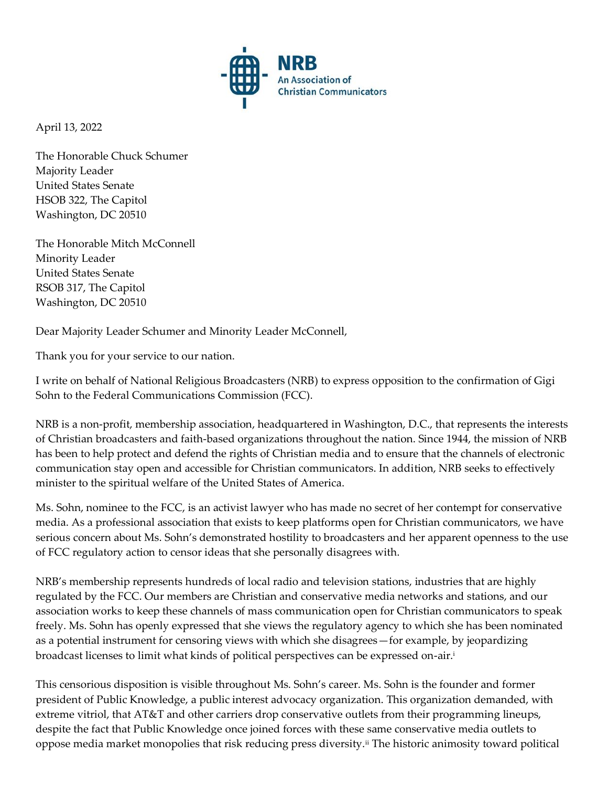

April 13, 2022

The Honorable Chuck Schumer Majority Leader United States Senate HSOB 322, The Capitol Washington, DC 20510

The Honorable Mitch McConnell Minority Leader United States Senate RSOB 317, The Capitol Washington, DC 20510

Dear Majority Leader Schumer and Minority Leader McConnell,

Thank you for your service to our nation.

I write on behalf of National Religious Broadcasters (NRB) to express opposition to the confirmation of Gigi Sohn to the Federal Communications Commission (FCC).

NRB is a non-profit, membership association, headquartered in Washington, D.C., that represents the interests of Christian broadcasters and faith-based organizations throughout the nation. Since 1944, the mission of NRB has been to help protect and defend the rights of Christian media and to ensure that the channels of electronic communication stay open and accessible for Christian communicators. In addition, NRB seeks to effectively minister to the spiritual welfare of the United States of America.

Ms. Sohn, nominee to the FCC, is an activist lawyer who has made no secret of her contempt for conservative media. As a professional association that exists to keep platforms open for Christian communicators, we have serious concern about Ms. Sohn's demonstrated hostility to broadcasters and her apparent openness to the use of FCC regulatory action to censor ideas that she personally disagrees with.

NRB's membership represents hundreds of local radio and television stations, industries that are highly regulated by the FCC. Our members are Christian and conservative media networks and stations, and our association works to keep these channels of mass communication open for Christian communicators to speak freely. Ms. Sohn has openly expressed that she views the regulatory agency to which she has been nominated as a potential instrument for censoring views with which she disagrees—for example, by jeopardizing broadcast licenses to limit what kinds of political perspectives can be expressed on-air.<sup>i</sup>

This censorious disposition is visible throughout Ms. Sohn's career. Ms. Sohn is the founder and former president of Public Knowledge, a public interest advocacy organization. This organization demanded, with extreme vitriol, that AT&T and other carriers drop conservative outlets from their programming lineups, despite the fact that Public Knowledge once joined forces with these same conservative media outlets to oppose media market monopolies that risk reducing press diversity.ii The historic animosity toward political